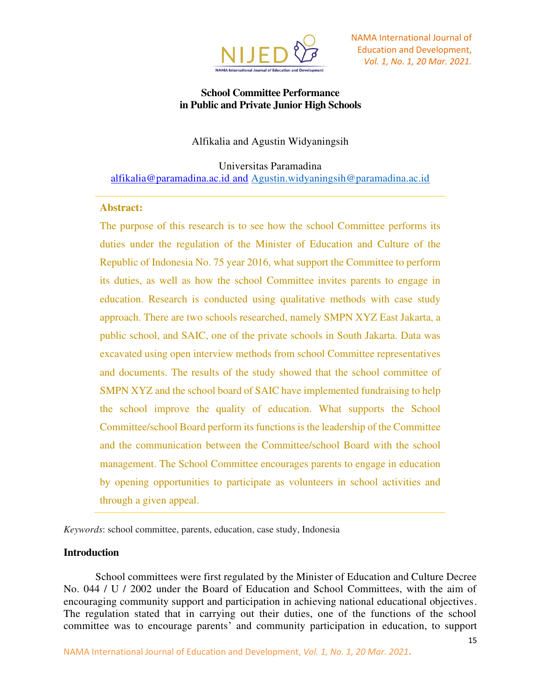

## **School Committee Performance in Public and Private Junior High Schools**

## Alfikalia and Agustin Widyaningsih

Universitas Paramadina [alfikalia@paramadina.ac.id](mailto:alfikalia@paramadina.ac.id) and [Agustin.widyaningsih@paramadina.ac.id](mailto:Agustin.widyaningsih@paramadina.ac.id)

### **Abstract:**

The purpose of this research is to see how the school Committee performs its duties under the regulation of the Minister of Education and Culture of the Republic of Indonesia No. 75 year 2016, what support the Committee to perform its duties, as well as how the school Committee invites parents to engage in education. Research is conducted using qualitative methods with case study approach. There are two schools researched, namely SMPN XYZ East Jakarta, a public school, and SAIC, one of the private schools in South Jakarta. Data was excavated using open interview methods from school Committee representatives and documents. The results of the study showed that the school committee of SMPN XYZ and the school board of SAIC have implemented fundraising to help the school improve the quality of education. What supports the School Committee/school Board perform its functions is the leadership of the Committee and the communication between the Committee/school Board with the school management. The School Committee encourages parents to engage in education by opening opportunities to participate as volunteers in school activities and through a given appeal.

*Keywords*: school committee, parents, education, case study, Indonesia

### **Introduction**

School committees were first regulated by the Minister of Education and Culture Decree No. 044 / U / 2002 under the Board of Education and School Committees, with the aim of encouraging community support and participation in achieving national educational objectives. The regulation stated that in carrying out their duties, one of the functions of the school committee was to encourage parents' and community participation in education, to support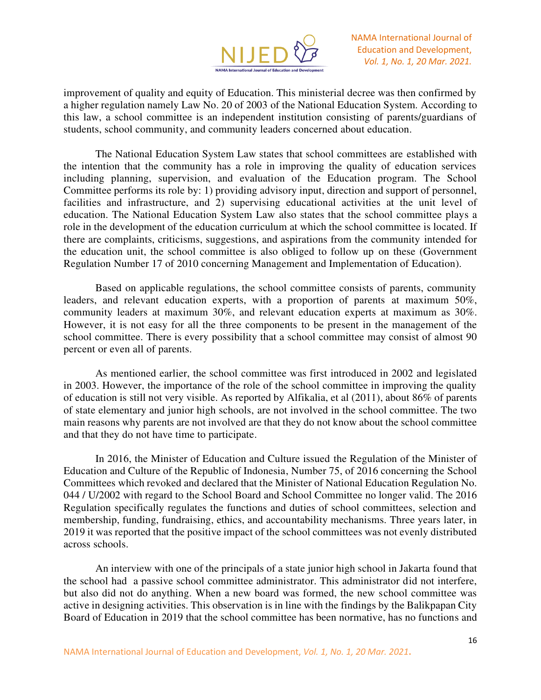

improvement of quality and equity of Education. This ministerial decree was then confirmed by a higher regulation namely Law No. 20 of 2003 of the National Education System. According to this law, a school committee is an independent institution consisting of parents/guardians of students, school community, and community leaders concerned about education.

The National Education System Law states that school committees are established with the intention that the community has a role in improving the quality of education services including planning, supervision, and evaluation of the Education program. The School Committee performs its role by: 1) providing advisory input, direction and support of personnel, facilities and infrastructure, and 2) supervising educational activities at the unit level of education. The National Education System Law also states that the school committee plays a role in the development of the education curriculum at which the school committee is located. If there are complaints, criticisms, suggestions, and aspirations from the community intended for the education unit, the school committee is also obliged to follow up on these (Government Regulation Number 17 of 2010 concerning Management and Implementation of Education).

Based on applicable regulations, the school committee consists of parents, community leaders, and relevant education experts, with a proportion of parents at maximum 50%, community leaders at maximum 30%, and relevant education experts at maximum as 30%. However, it is not easy for all the three components to be present in the management of the school committee. There is every possibility that a school committee may consist of almost 90 percent or even all of parents.

As mentioned earlier, the school committee was first introduced in 2002 and legislated in 2003. However, the importance of the role of the school committee in improving the quality of education is still not very visible. As reported by Alfikalia, et al (2011), about 86% of parents of state elementary and junior high schools, are not involved in the school committee. The two main reasons why parents are not involved are that they do not know about the school committee and that they do not have time to participate.

In 2016, the Minister of Education and Culture issued the Regulation of the Minister of Education and Culture of the Republic of Indonesia, Number 75, of 2016 concerning the School Committees which revoked and declared that the Minister of National Education Regulation No. 044 / U/2002 with regard to the School Board and School Committee no longer valid. The 2016 Regulation specifically regulates the functions and duties of school committees, selection and membership, funding, fundraising, ethics, and accountability mechanisms. Three years later, in 2019 it was reported that the positive impact of the school committees was not evenly distributed across schools.

An interview with one of the principals of a state junior high school in Jakarta found that the school had a passive school committee administrator. This administrator did not interfere, but also did not do anything. When a new board was formed, the new school committee was active in designing activities. This observation is in line with the findings by the Balikpapan City Board of Education in 2019 that the school committee has been normative, has no functions and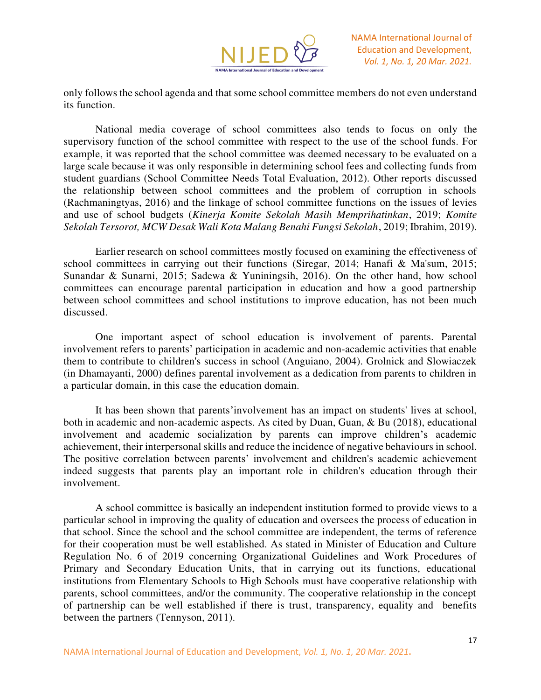

only follows the school agenda and that some school committee members do not even understand its function.

National media coverage of school committees also tends to focus on only the supervisory function of the school committee with respect to the use of the school funds. For example, it was reported that the school committee was deemed necessary to be evaluated on a large scale because it was only responsible in determining school fees and collecting funds from student guardians (School Committee Needs Total Evaluation, 2012). Other reports discussed the relationship between school committees and the problem of corruption in schools (Rachmaningtyas, 2016) and the linkage of school committee functions on the issues of levies and use of school budgets (*Kinerja Komite Sekolah Masih Memprihatinkan*, 2019; *Komite Sekolah Tersorot, MCW Desak Wali Kota Malang Benahi Fungsi Sekolah*, 2019; Ibrahim, 2019).

Earlier research on school committees mostly focused on examining the effectiveness of school committees in carrying out their functions (Siregar, 2014; Hanafi & Ma'sum, 2015; Sunandar & Sunarni, 2015; Sadewa & Yuniningsih, 2016). On the other hand, how school committees can encourage parental participation in education and how a good partnership between school committees and school institutions to improve education, has not been much discussed.

One important aspect of school education is involvement of parents. Parental involvement refers to parents' participation in academic and non-academic activities that enable them to contribute to children's success in school (Anguiano, 2004). Grolnick and Slowiaczek (in Dhamayanti, 2000) defines parental involvement as a dedication from parents to children in a particular domain, in this case the education domain.

It has been shown that parents'involvement has an impact on students' lives at school, both in academic and non-academic aspects. As cited by Duan, Guan, & Bu (2018), educational involvement and academic socialization by parents can improve children's academic achievement, their interpersonal skills and reduce the incidence of negative behaviours in school. The positive correlation between parents' involvement and children's academic achievement indeed suggests that parents play an important role in children's education through their involvement.

A school committee is basically an independent institution formed to provide views to a particular school in improving the quality of education and oversees the process of education in that school. Since the school and the school committee are independent, the terms of reference for their cooperation must be well established. As stated in Minister of Education and Culture Regulation No. 6 of 2019 concerning Organizational Guidelines and Work Procedures of Primary and Secondary Education Units, that in carrying out its functions, educational institutions from Elementary Schools to High Schools must have cooperative relationship with parents, school committees, and/or the community. The cooperative relationship in the concept of partnership can be well established if there is trust, transparency, equality and benefits between the partners (Tennyson, 2011).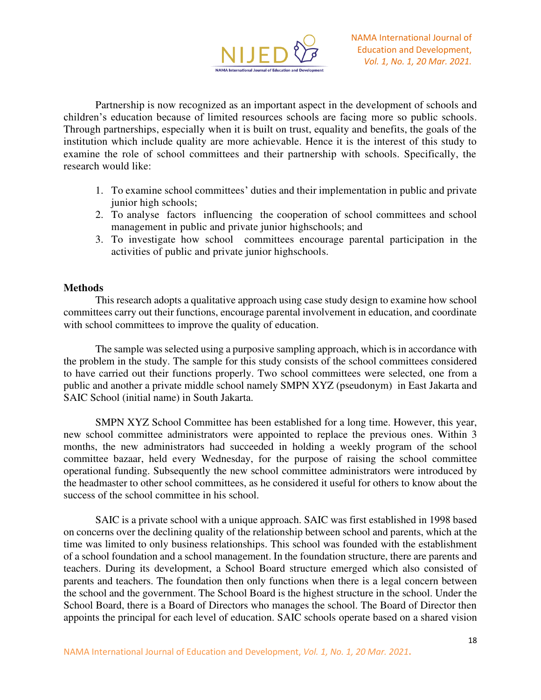

Partnership is now recognized as an important aspect in the development of schools and children's education because of limited resources schools are facing more so public schools. Through partnerships, especially when it is built on trust, equality and benefits, the goals of the institution which include quality are more achievable. Hence it is the interest of this study to examine the role of school committees and their partnership with schools. Specifically, the research would like:

- 1. To examine school committees' duties and their implementation in public and private junior high schools;
- 2. To analyse factors influencing the cooperation of school committees and school management in public and private junior highschools; and
- 3. To investigate how school committees encourage parental participation in the activities of public and private junior highschools.

### **Methods**

This research adopts a qualitative approach using case study design to examine how school committees carry out their functions, encourage parental involvement in education, and coordinate with school committees to improve the quality of education.

The sample was selected using a purposive sampling approach, which is in accordance with the problem in the study. The sample for this study consists of the school committees considered to have carried out their functions properly. Two school committees were selected, one from a public and another a private middle school namely SMPN XYZ (pseudonym) in East Jakarta and SAIC School (initial name) in South Jakarta.

SMPN XYZ School Committee has been established for a long time. However, this year, new school committee administrators were appointed to replace the previous ones. Within 3 months, the new administrators had succeeded in holding a weekly program of the school committee bazaar, held every Wednesday, for the purpose of raising the school committee operational funding. Subsequently the new school committee administrators were introduced by the headmaster to other school committees, as he considered it useful for others to know about the success of the school committee in his school.

SAIC is a private school with a unique approach. SAIC was first established in 1998 based on concerns over the declining quality of the relationship between school and parents, which at the time was limited to only business relationships. This school was founded with the establishment of a school foundation and a school management. In the foundation structure, there are parents and teachers. During its development, a School Board structure emerged which also consisted of parents and teachers. The foundation then only functions when there is a legal concern between the school and the government. The School Board is the highest structure in the school. Under the School Board, there is a Board of Directors who manages the school. The Board of Director then appoints the principal for each level of education. SAIC schools operate based on a shared vision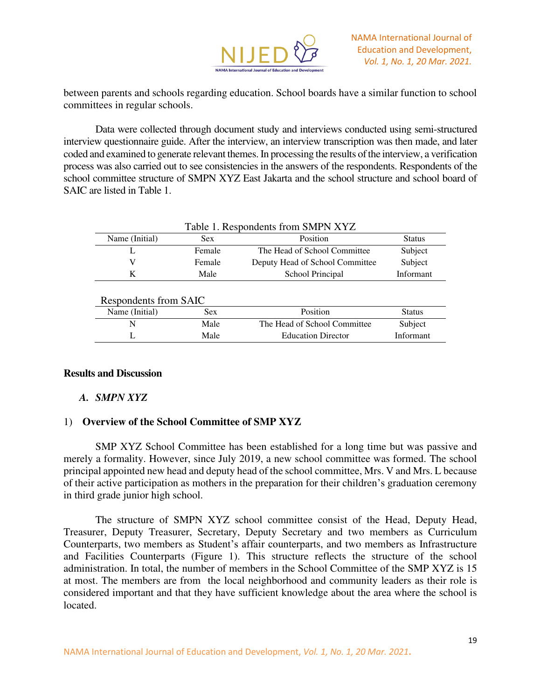

between parents and schools regarding education. School boards have a similar function to school committees in regular schools.

Data were collected through document study and interviews conducted using semi-structured interview questionnaire guide. After the interview, an interview transcription was then made, and later coded and examined to generate relevant themes. In processing the results of the interview, a verification process was also carried out to see consistencies in the answers of the respondents. Respondents of the school committee structure of SMPN XYZ East Jakarta and the school structure and school board of SAIC are listed in Table 1.

| Table 1. Respondents from SMPN XYZ |        |                                 |               |  |
|------------------------------------|--------|---------------------------------|---------------|--|
| Name (Initial)                     | Sex    | Position                        | <b>Status</b> |  |
|                                    | Female | The Head of School Committee    | Subject       |  |
|                                    | Female | Deputy Head of School Committee | Subject       |  |
|                                    | Male   | School Principal                | Informant     |  |

#### Respondents from SAIC

| Name (Initial) | Sex  | <b>Position</b>              | <b>Status</b> |
|----------------|------|------------------------------|---------------|
|                | Male | The Head of School Committee | Subject       |
|                | Male | <b>Education Director</b>    | Informant     |

### **Results and Discussion**

## *A. SMPN XYZ*

## 1) **Overview of the School Committee of SMP XYZ**

SMP XYZ School Committee has been established for a long time but was passive and merely a formality. However, since July 2019, a new school committee was formed. The school principal appointed new head and deputy head of the school committee, Mrs. V and Mrs. L because of their active participation as mothers in the preparation for their children's graduation ceremony in third grade junior high school.

The structure of SMPN XYZ school committee consist of the Head, Deputy Head, Treasurer, Deputy Treasurer, Secretary, Deputy Secretary and two members as Curriculum Counterparts, two members as Student's affair counterparts, and two members as Infrastructure and Facilities Counterparts (Figure 1). This structure reflects the structure of the school administration. In total, the number of members in the School Committee of the SMP XYZ is 15 at most. The members are from the local neighborhood and community leaders as their role is considered important and that they have sufficient knowledge about the area where the school is located.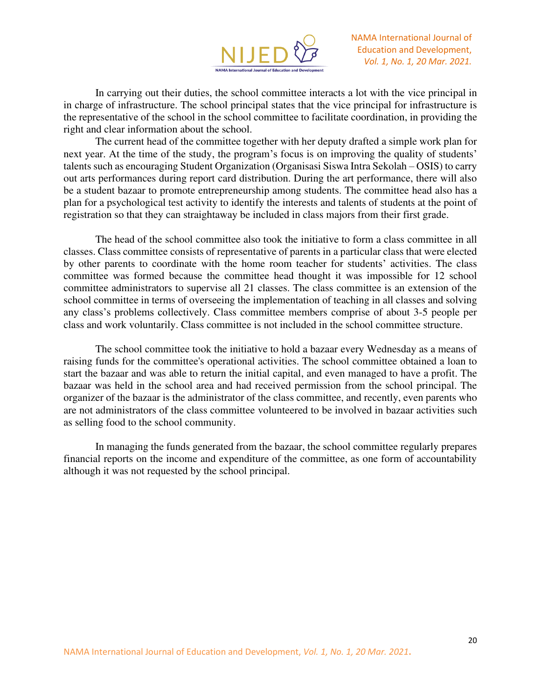

In carrying out their duties, the school committee interacts a lot with the vice principal in in charge of infrastructure. The school principal states that the vice principal for infrastructure is the representative of the school in the school committee to facilitate coordination, in providing the right and clear information about the school.

The current head of the committee together with her deputy drafted a simple work plan for next year. At the time of the study, the program's focus is on improving the quality of students' talents such as encouraging Student Organization (Organisasi Siswa Intra Sekolah – OSIS) to carry out arts performances during report card distribution. During the art performance, there will also be a student bazaar to promote entrepreneurship among students. The committee head also has a plan for a psychological test activity to identify the interests and talents of students at the point of registration so that they can straightaway be included in class majors from their first grade.

The head of the school committee also took the initiative to form a class committee in all classes. Class committee consists of representative of parents in a particular class that were elected by other parents to coordinate with the home room teacher for students' activities. The class committee was formed because the committee head thought it was impossible for 12 school committee administrators to supervise all 21 classes. The class committee is an extension of the school committee in terms of overseeing the implementation of teaching in all classes and solving any class's problems collectively. Class committee members comprise of about 3-5 people per class and work voluntarily. Class committee is not included in the school committee structure.

The school committee took the initiative to hold a bazaar every Wednesday as a means of raising funds for the committee's operational activities. The school committee obtained a loan to start the bazaar and was able to return the initial capital, and even managed to have a profit. The bazaar was held in the school area and had received permission from the school principal. The organizer of the bazaar is the administrator of the class committee, and recently, even parents who are not administrators of the class committee volunteered to be involved in bazaar activities such as selling food to the school community.

In managing the funds generated from the bazaar, the school committee regularly prepares financial reports on the income and expenditure of the committee, as one form of accountability although it was not requested by the school principal.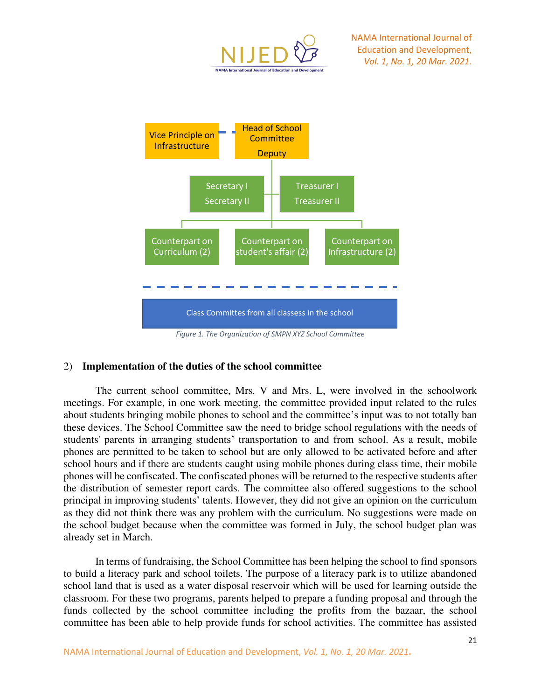



*Figure 1. The Organization of SMPN XYZ School Committee*

## 2) **Implementation of the duties of the school committee**

The current school committee, Mrs. V and Mrs. L, were involved in the schoolwork meetings. For example, in one work meeting, the committee provided input related to the rules about students bringing mobile phones to school and the committee's input was to not totally ban these devices. The School Committee saw the need to bridge school regulations with the needs of students' parents in arranging students' transportation to and from school. As a result, mobile phones are permitted to be taken to school but are only allowed to be activated before and after school hours and if there are students caught using mobile phones during class time, their mobile phones will be confiscated. The confiscated phones will be returned to the respective students after the distribution of semester report cards. The committee also offered suggestions to the school principal in improving students' talents. However, they did not give an opinion on the curriculum as they did not think there was any problem with the curriculum. No suggestions were made on the school budget because when the committee was formed in July, the school budget plan was already set in March.

In terms of fundraising, the School Committee has been helping the school to find sponsors to build a literacy park and school toilets. The purpose of a literacy park is to utilize abandoned school land that is used as a water disposal reservoir which will be used for learning outside the classroom. For these two programs, parents helped to prepare a funding proposal and through the funds collected by the school committee including the profits from the bazaar, the school committee has been able to help provide funds for school activities. The committee has assisted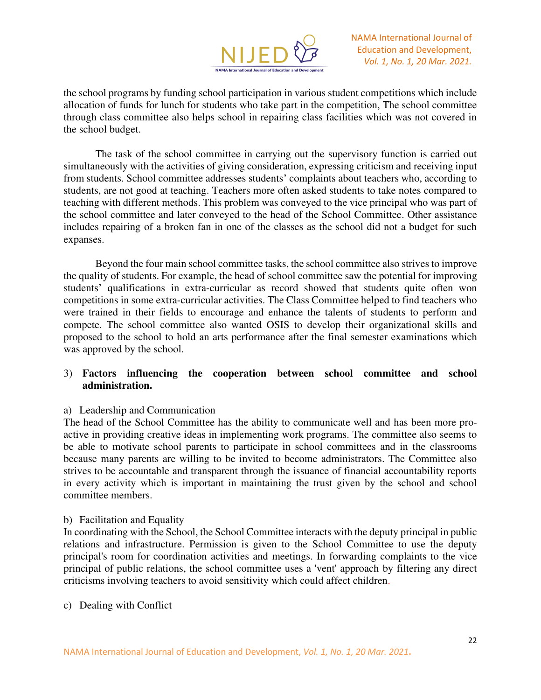

the school programs by funding school participation in various student competitions which include allocation of funds for lunch for students who take part in the competition, The school committee through class committee also helps school in repairing class facilities which was not covered in the school budget.

The task of the school committee in carrying out the supervisory function is carried out simultaneously with the activities of giving consideration, expressing criticism and receiving input from students. School committee addresses students' complaints about teachers who, according to students, are not good at teaching. Teachers more often asked students to take notes compared to teaching with different methods. This problem was conveyed to the vice principal who was part of the school committee and later conveyed to the head of the School Committee. Other assistance includes repairing of a broken fan in one of the classes as the school did not a budget for such expanses.

Beyond the four main school committee tasks, the school committee also strives to improve the quality of students. For example, the head of school committee saw the potential for improving students' qualifications in extra-curricular as record showed that students quite often won competitions in some extra-curricular activities. The Class Committee helped to find teachers who were trained in their fields to encourage and enhance the talents of students to perform and compete. The school committee also wanted OSIS to develop their organizational skills and proposed to the school to hold an arts performance after the final semester examinations which was approved by the school.

## 3) **Factors influencing the cooperation between school committee and school administration.**

## a) Leadership and Communication

The head of the School Committee has the ability to communicate well and has been more proactive in providing creative ideas in implementing work programs. The committee also seems to be able to motivate school parents to participate in school committees and in the classrooms because many parents are willing to be invited to become administrators. The Committee also strives to be accountable and transparent through the issuance of financial accountability reports in every activity which is important in maintaining the trust given by the school and school committee members.

### b) Facilitation and Equality

In coordinating with the School, the School Committee interacts with the deputy principal in public relations and infrastructure. Permission is given to the School Committee to use the deputy principal's room for coordination activities and meetings. In forwarding complaints to the vice principal of public relations, the school committee uses a 'vent' approach by filtering any direct criticisms involving teachers to avoid sensitivity which could affect children.

### c) Dealing with Conflict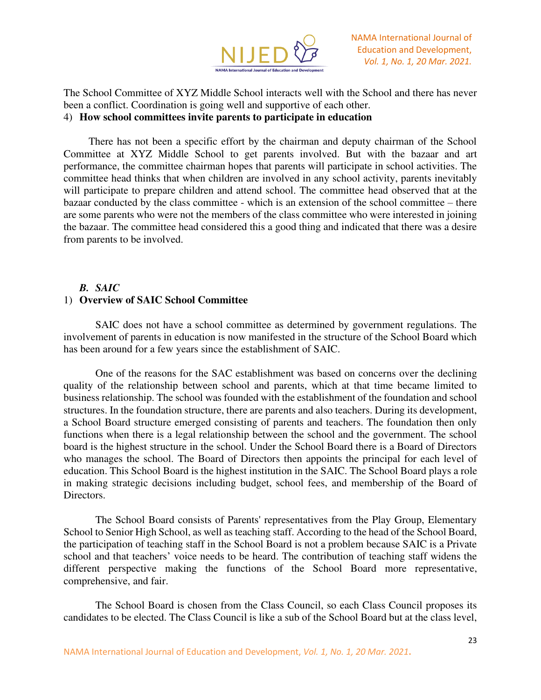

The School Committee of XYZ Middle School interacts well with the School and there has never been a conflict. Coordination is going well and supportive of each other. 4) **How school committees invite parents to participate in education** 

There has not been a specific effort by the chairman and deputy chairman of the School Committee at XYZ Middle School to get parents involved. But with the bazaar and art performance, the committee chairman hopes that parents will participate in school activities. The committee head thinks that when children are involved in any school activity, parents inevitably will participate to prepare children and attend school. The committee head observed that at the bazaar conducted by the class committee - which is an extension of the school committee – there are some parents who were not the members of the class committee who were interested in joining the bazaar. The committee head considered this a good thing and indicated that there was a desire from parents to be involved.

# *B. SAIC*  1) **Overview of SAIC School Committee**

SAIC does not have a school committee as determined by government regulations. The involvement of parents in education is now manifested in the structure of the School Board which has been around for a few years since the establishment of SAIC.

One of the reasons for the SAC establishment was based on concerns over the declining quality of the relationship between school and parents, which at that time became limited to business relationship. The school was founded with the establishment of the foundation and school structures. In the foundation structure, there are parents and also teachers. During its development, a School Board structure emerged consisting of parents and teachers. The foundation then only functions when there is a legal relationship between the school and the government. The school board is the highest structure in the school. Under the School Board there is a Board of Directors who manages the school. The Board of Directors then appoints the principal for each level of education. This School Board is the highest institution in the SAIC. The School Board plays a role in making strategic decisions including budget, school fees, and membership of the Board of Directors.

The School Board consists of Parents' representatives from the Play Group, Elementary School to Senior High School, as well as teaching staff. According to the head of the School Board, the participation of teaching staff in the School Board is not a problem because SAIC is a Private school and that teachers' voice needs to be heard. The contribution of teaching staff widens the different perspective making the functions of the School Board more representative, comprehensive, and fair.

The School Board is chosen from the Class Council, so each Class Council proposes its candidates to be elected. The Class Council is like a sub of the School Board but at the class level,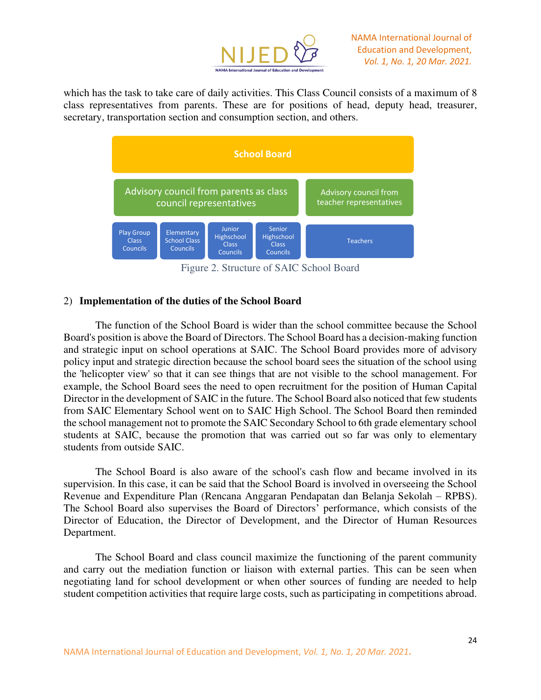

which has the task to take care of daily activities. This Class Council consists of a maximum of 8 class representatives from parents. These are for positions of head, deputy head, treasurer, secretary, transportation section and consumption section, and others.



Figure 2. Structure of SAIC School Board

## 2) **Implementation of the duties of the School Board**

The function of the School Board is wider than the school committee because the School Board's position is above the Board of Directors. The School Board has a decision-making function and strategic input on school operations at SAIC. The School Board provides more of advisory policy input and strategic direction because the school board sees the situation of the school using the 'helicopter view' so that it can see things that are not visible to the school management. For example, the School Board sees the need to open recruitment for the position of Human Capital Director in the development of SAIC in the future. The School Board also noticed that few students from SAIC Elementary School went on to SAIC High School. The School Board then reminded the school management not to promote the SAIC Secondary School to 6th grade elementary school students at SAIC, because the promotion that was carried out so far was only to elementary students from outside SAIC.

The School Board is also aware of the school's cash flow and became involved in its supervision. In this case, it can be said that the School Board is involved in overseeing the School Revenue and Expenditure Plan (Rencana Anggaran Pendapatan dan Belanja Sekolah – RPBS). The School Board also supervises the Board of Directors' performance, which consists of the Director of Education, the Director of Development, and the Director of Human Resources Department.

The School Board and class council maximize the functioning of the parent community and carry out the mediation function or liaison with external parties. This can be seen when negotiating land for school development or when other sources of funding are needed to help student competition activities that require large costs, such as participating in competitions abroad.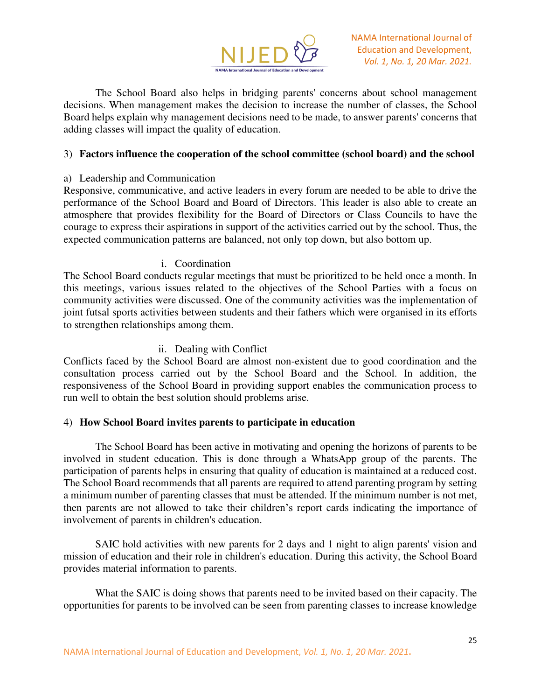

The School Board also helps in bridging parents' concerns about school management decisions. When management makes the decision to increase the number of classes, the School Board helps explain why management decisions need to be made, to answer parents' concerns that adding classes will impact the quality of education.

### 3) **Factors influence the cooperation of the school committee (school board) and the school**

### a) Leadership and Communication

Responsive, communicative, and active leaders in every forum are needed to be able to drive the performance of the School Board and Board of Directors. This leader is also able to create an atmosphere that provides flexibility for the Board of Directors or Class Councils to have the courage to express their aspirations in support of the activities carried out by the school. Thus, the expected communication patterns are balanced, not only top down, but also bottom up.

### i. Coordination

The School Board conducts regular meetings that must be prioritized to be held once a month. In this meetings, various issues related to the objectives of the School Parties with a focus on community activities were discussed. One of the community activities was the implementation of joint futsal sports activities between students and their fathers which were organised in its efforts to strengthen relationships among them.

### ii. Dealing with Conflict

Conflicts faced by the School Board are almost non-existent due to good coordination and the consultation process carried out by the School Board and the School. In addition, the responsiveness of the School Board in providing support enables the communication process to run well to obtain the best solution should problems arise.

## 4) **How School Board invites parents to participate in education**

The School Board has been active in motivating and opening the horizons of parents to be involved in student education. This is done through a WhatsApp group of the parents. The participation of parents helps in ensuring that quality of education is maintained at a reduced cost. The School Board recommends that all parents are required to attend parenting program by setting a minimum number of parenting classes that must be attended. If the minimum number is not met, then parents are not allowed to take their children's report cards indicating the importance of involvement of parents in children's education.

SAIC hold activities with new parents for 2 days and 1 night to align parents' vision and mission of education and their role in children's education. During this activity, the School Board provides material information to parents.

What the SAIC is doing shows that parents need to be invited based on their capacity. The opportunities for parents to be involved can be seen from parenting classes to increase knowledge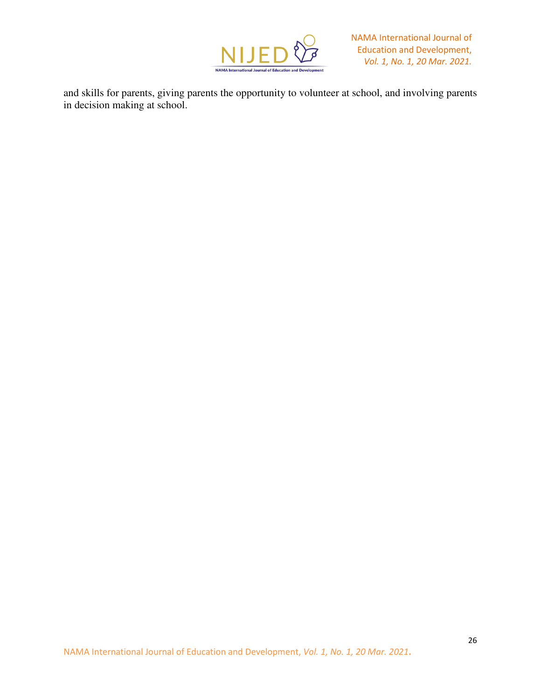

and skills for parents, giving parents the opportunity to volunteer at school, and involving parents in decision making at school.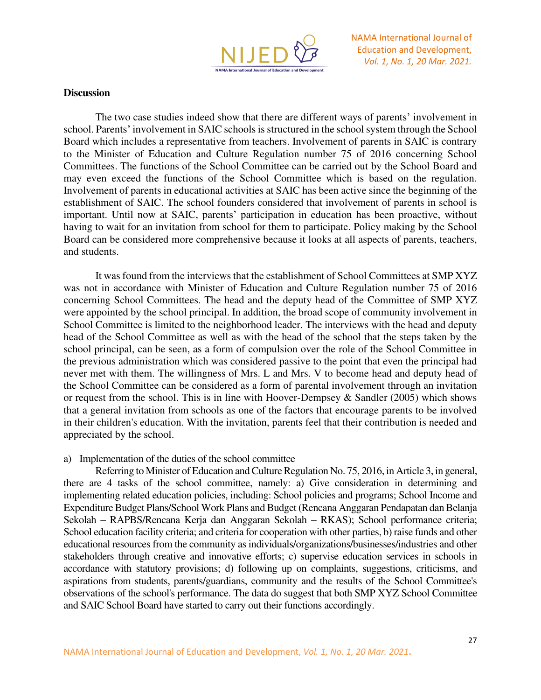

## **Discussion**

The two case studies indeed show that there are different ways of parents' involvement in school. Parents' involvement in SAIC schools is structured in the school system through the School Board which includes a representative from teachers. Involvement of parents in SAIC is contrary to the Minister of Education and Culture Regulation number 75 of 2016 concerning School Committees. The functions of the School Committee can be carried out by the School Board and may even exceed the functions of the School Committee which is based on the regulation. Involvement of parents in educational activities at SAIC has been active since the beginning of the establishment of SAIC. The school founders considered that involvement of parents in school is important. Until now at SAIC, parents' participation in education has been proactive, without having to wait for an invitation from school for them to participate. Policy making by the School Board can be considered more comprehensive because it looks at all aspects of parents, teachers, and students.

It was found from the interviews that the establishment of School Committees at SMP XYZ was not in accordance with Minister of Education and Culture Regulation number 75 of 2016 concerning School Committees. The head and the deputy head of the Committee of SMP XYZ were appointed by the school principal. In addition, the broad scope of community involvement in School Committee is limited to the neighborhood leader. The interviews with the head and deputy head of the School Committee as well as with the head of the school that the steps taken by the school principal, can be seen, as a form of compulsion over the role of the School Committee in the previous administration which was considered passive to the point that even the principal had never met with them. The willingness of Mrs. L and Mrs. V to become head and deputy head of the School Committee can be considered as a form of parental involvement through an invitation or request from the school. This is in line with Hoover-Dempsey  $\&$  Sandler (2005) which shows that a general invitation from schools as one of the factors that encourage parents to be involved in their children's education. With the invitation, parents feel that their contribution is needed and appreciated by the school.

### a) Implementation of the duties of the school committee

Referring to Minister of Education and Culture Regulation No. 75, 2016, in Article 3, in general, there are 4 tasks of the school committee, namely: a) Give consideration in determining and implementing related education policies, including: School policies and programs; School Income and Expenditure Budget Plans/School Work Plans and Budget (Rencana Anggaran Pendapatan dan Belanja Sekolah – RAPBS/Rencana Kerja dan Anggaran Sekolah – RKAS); School performance criteria; School education facility criteria; and criteria for cooperation with other parties, b) raise funds and other educational resources from the community as individuals/organizations/businesses/industries and other stakeholders through creative and innovative efforts; c) supervise education services in schools in accordance with statutory provisions; d) following up on complaints, suggestions, criticisms, and aspirations from students, parents/guardians, community and the results of the School Committee's observations of the school's performance. The data do suggest that both SMP XYZ School Committee and SAIC School Board have started to carry out their functions accordingly.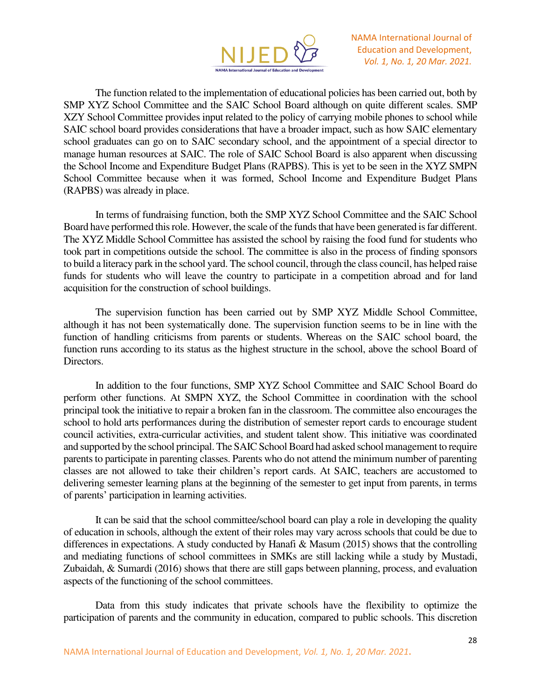

The function related to the implementation of educational policies has been carried out, both by SMP XYZ School Committee and the SAIC School Board although on quite different scales. SMP XZY School Committee provides input related to the policy of carrying mobile phones to school while SAIC school board provides considerations that have a broader impact, such as how SAIC elementary school graduates can go on to SAIC secondary school, and the appointment of a special director to manage human resources at SAIC. The role of SAIC School Board is also apparent when discussing the School Income and Expenditure Budget Plans (RAPBS). This is yet to be seen in the XYZ SMPN School Committee because when it was formed, School Income and Expenditure Budget Plans (RAPBS) was already in place.

In terms of fundraising function, both the SMP XYZ School Committee and the SAIC School Board have performed this role. However, the scale of the funds that have been generated is far different. The XYZ Middle School Committee has assisted the school by raising the food fund for students who took part in competitions outside the school. The committee is also in the process of finding sponsors to build a literacy park in the school yard. The school council, through the class council, has helped raise funds for students who will leave the country to participate in a competition abroad and for land acquisition for the construction of school buildings.

The supervision function has been carried out by SMP XYZ Middle School Committee, although it has not been systematically done. The supervision function seems to be in line with the function of handling criticisms from parents or students. Whereas on the SAIC school board, the function runs according to its status as the highest structure in the school, above the school Board of Directors.

In addition to the four functions, SMP XYZ School Committee and SAIC School Board do perform other functions. At SMPN XYZ, the School Committee in coordination with the school principal took the initiative to repair a broken fan in the classroom. The committee also encourages the school to hold arts performances during the distribution of semester report cards to encourage student council activities, extra-curricular activities, and student talent show. This initiative was coordinated and supported by the school principal. The SAIC School Board had asked school management to require parents to participate in parenting classes. Parents who do not attend the minimum number of parenting classes are not allowed to take their children's report cards. At SAIC, teachers are accustomed to delivering semester learning plans at the beginning of the semester to get input from parents, in terms of parents' participation in learning activities.

It can be said that the school committee/school board can play a role in developing the quality of education in schools, although the extent of their roles may vary across schools that could be due to differences in expectations. A study conducted by Hanafi & Masum (2015) shows that the controlling and mediating functions of school committees in SMKs are still lacking while a study by Mustadi, Zubaidah, & Sumardi (2016) shows that there are still gaps between planning, process, and evaluation aspects of the functioning of the school committees.

Data from this study indicates that private schools have the flexibility to optimize the participation of parents and the community in education, compared to public schools. This discretion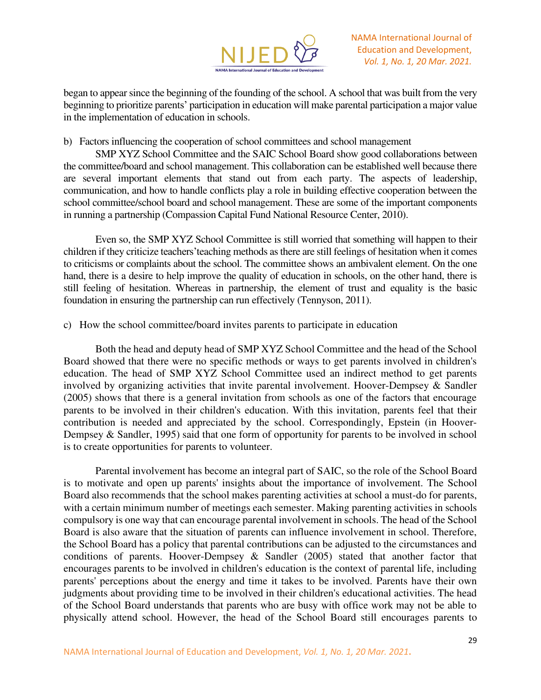

began to appear since the beginning of the founding of the school. A school that was built from the very beginning to prioritize parents' participation in education will make parental participation a major value in the implementation of education in schools.

b) Factors influencing the cooperation of school committees and school management

SMP XYZ School Committee and the SAIC School Board show good collaborations between the committee/board and school management. This collaboration can be established well because there are several important elements that stand out from each party. The aspects of leadership, communication, and how to handle conflicts play a role in building effective cooperation between the school committee/school board and school management. These are some of the important components in running a partnership (Compassion Capital Fund National Resource Center, 2010).

Even so, the SMP XYZ School Committee is still worried that something will happen to their children if they criticize teachers'teaching methods as there are still feelings of hesitation when it comes to criticisms or complaints about the school. The committee shows an ambivalent element. On the one hand, there is a desire to help improve the quality of education in schools, on the other hand, there is still feeling of hesitation. Whereas in partnership, the element of trust and equality is the basic foundation in ensuring the partnership can run effectively (Tennyson, 2011).

c) How the school committee/board invites parents to participate in education

Both the head and deputy head of SMP XYZ School Committee and the head of the School Board showed that there were no specific methods or ways to get parents involved in children's education. The head of SMP XYZ School Committee used an indirect method to get parents involved by organizing activities that invite parental involvement. Hoover-Dempsey & Sandler (2005) shows that there is a general invitation from schools as one of the factors that encourage parents to be involved in their children's education. With this invitation, parents feel that their contribution is needed and appreciated by the school. Correspondingly, Epstein (in Hoover-Dempsey & Sandler, 1995) said that one form of opportunity for parents to be involved in school is to create opportunities for parents to volunteer.

Parental involvement has become an integral part of SAIC, so the role of the School Board is to motivate and open up parents' insights about the importance of involvement. The School Board also recommends that the school makes parenting activities at school a must-do for parents, with a certain minimum number of meetings each semester. Making parenting activities in schools compulsory is one way that can encourage parental involvement in schools. The head of the School Board is also aware that the situation of parents can influence involvement in school. Therefore, the School Board has a policy that parental contributions can be adjusted to the circumstances and conditions of parents. Hoover-Dempsey & Sandler (2005) stated that another factor that encourages parents to be involved in children's education is the context of parental life, including parents' perceptions about the energy and time it takes to be involved. Parents have their own judgments about providing time to be involved in their children's educational activities. The head of the School Board understands that parents who are busy with office work may not be able to physically attend school. However, the head of the School Board still encourages parents to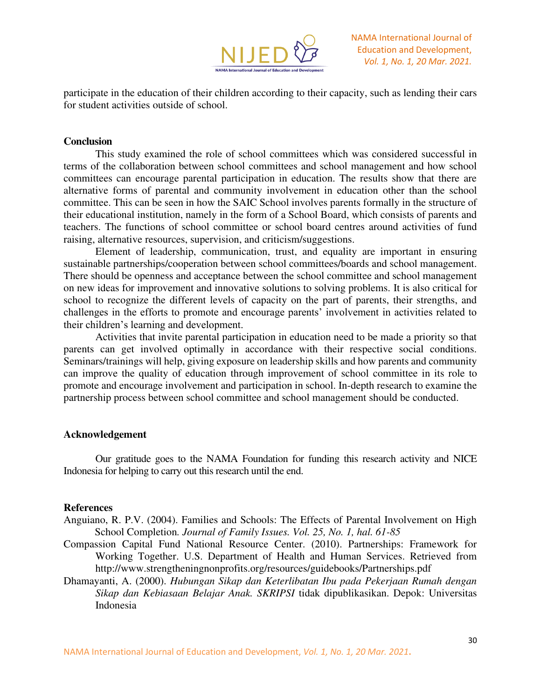

participate in the education of their children according to their capacity, such as lending their cars for student activities outside of school.

### **Conclusion**

This study examined the role of school committees which was considered successful in terms of the collaboration between school committees and school management and how school committees can encourage parental participation in education. The results show that there are alternative forms of parental and community involvement in education other than the school committee. This can be seen in how the SAIC School involves parents formally in the structure of their educational institution, namely in the form of a School Board, which consists of parents and teachers. The functions of school committee or school board centres around activities of fund raising, alternative resources, supervision, and criticism/suggestions.

Element of leadership, communication, trust, and equality are important in ensuring sustainable partnerships/cooperation between school committees/boards and school management. There should be openness and acceptance between the school committee and school management on new ideas for improvement and innovative solutions to solving problems. It is also critical for school to recognize the different levels of capacity on the part of parents, their strengths, and challenges in the efforts to promote and encourage parents' involvement in activities related to their children's learning and development.

Activities that invite parental participation in education need to be made a priority so that parents can get involved optimally in accordance with their respective social conditions. Seminars/trainings will help, giving exposure on leadership skills and how parents and community can improve the quality of education through improvement of school committee in its role to promote and encourage involvement and participation in school. In-depth research to examine the partnership process between school committee and school management should be conducted.

### **Acknowledgement**

Our gratitude goes to the NAMA Foundation for funding this research activity and NICE Indonesia for helping to carry out this research until the end.

### **References**

- Anguiano, R. P.V. (2004). Families and Schools: The Effects of Parental Involvement on High School Completion*. Journal of Family Issues. Vol. 25, No. 1, hal. 61-85*
- Compassion Capital Fund National Resource Center. (2010). Partnerships: Framework for Working Together. U.S. Department of Health and Human Services. Retrieved from http://www.strengtheningnonprofits.org/resources/guidebooks/Partnerships.pdf
- Dhamayanti, A. (2000). *Hubungan Sikap dan Keterlibatan Ibu pada Pekerjaan Rumah dengan Sikap dan Kebiasaan Belajar Anak. SKRIPSI* tidak dipublikasikan. Depok: Universitas Indonesia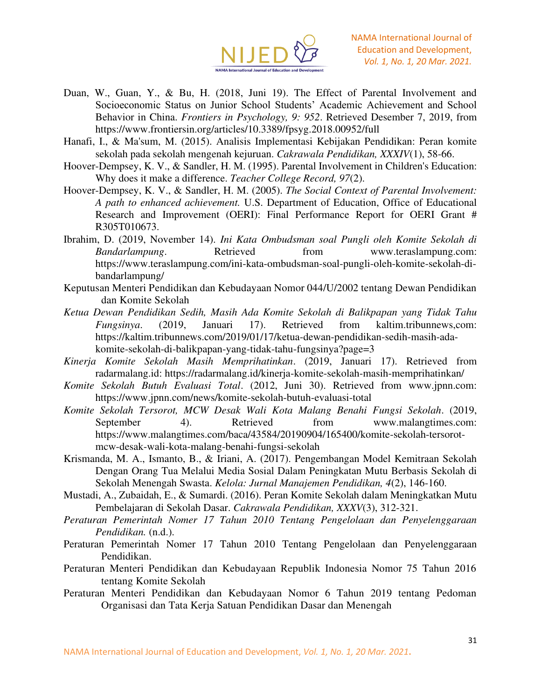

- Duan, W., Guan, Y., & Bu, H. (2018, Juni 19). The Effect of Parental Involvement and Socioeconomic Status on Junior School Students' Academic Achievement and School Behavior in China. *Frontiers in Psychology, 9: 952*. Retrieved Desember 7, 2019, from https://www.frontiersin.org/articles/10.3389/fpsyg.2018.00952/full
- Hanafi, I., & Ma'sum, M. (2015). Analisis Implementasi Kebijakan Pendidikan: Peran komite sekolah pada sekolah mengenah kejuruan. *Cakrawala Pendidikan, XXXIV*(1), 58-66.
- Hoover-Dempsey, K. V., & Sandler, H. M. (1995). Parental Involvement in Children's Education: Why does it make a difference. *Teacher College Record, 97*(2).
- Hoover-Dempsey, K. V., & Sandler, H. M. (2005). *The Social Context of Parental Involvement: A path to enhanced achievement.* U.S. Department of Education, Office of Educational Research and Improvement (OERI): Final Performance Report for OERI Grant # R305T010673.
- Ibrahim, D. (2019, November 14). *Ini Kata Ombudsman soal Pungli oleh Komite Sekolah di Bandarlampung*. Retrieved from www.teraslampung.com: https://www.teraslampung.com/ini-kata-ombudsman-soal-pungli-oleh-komite-sekolah-dibandarlampung/
- Keputusan Menteri Pendidikan dan Kebudayaan Nomor 044/U/2002 tentang Dewan Pendidikan dan Komite Sekolah
- *Ketua Dewan Pendidikan Sedih, Masih Ada Komite Sekolah di Balikpapan yang Tidak Tahu Fungsinya*. (2019, Januari 17). Retrieved from kaltim.tribunnews,com: https://kaltim.tribunnews.com/2019/01/17/ketua-dewan-pendidikan-sedih-masih-adakomite-sekolah-di-balikpapan-yang-tidak-tahu-fungsinya?page=3
- *Kinerja Komite Sekolah Masih Memprihatinkan*. (2019, Januari 17). Retrieved from radarmalang.id: https://radarmalang.id/kinerja-komite-sekolah-masih-memprihatinkan/
- *Komite Sekolah Butuh Evaluasi Total*. (2012, Juni 30). Retrieved from www.jpnn.com: https://www.jpnn.com/news/komite-sekolah-butuh-evaluasi-total
- *Komite Sekolah Tersorot, MCW Desak Wali Kota Malang Benahi Fungsi Sekolah*. (2019, September 4). Retrieved from www.malangtimes.com: https://www.malangtimes.com/baca/43584/20190904/165400/komite-sekolah-tersorotmcw-desak-wali-kota-malang-benahi-fungsi-sekolah
- Krismanda, M. A., Ismanto, B., & Iriani, A. (2017). Pengembangan Model Kemitraan Sekolah Dengan Orang Tua Melalui Media Sosial Dalam Peningkatan Mutu Berbasis Sekolah di Sekolah Menengah Swasta. *Kelola: Jurnal Manajemen Pendidikan, 4*(2), 146-160.
- Mustadi, A., Zubaidah, E., & Sumardi. (2016). Peran Komite Sekolah dalam Meningkatkan Mutu Pembelajaran di Sekolah Dasar. *Cakrawala Pendidikan, XXXV*(3), 312-321.
- *Peraturan Pemerintah Nomer 17 Tahun 2010 Tentang Pengelolaan dan Penyelenggaraan Pendidikan.* (n.d.).
- Peraturan Pemerintah Nomer 17 Tahun 2010 Tentang Pengelolaan dan Penyelenggaraan Pendidikan.
- Peraturan Menteri Pendidikan dan Kebudayaan Republik Indonesia Nomor 75 Tahun 2016 tentang Komite Sekolah
- Peraturan Menteri Pendidikan dan Kebudayaan Nomor 6 Tahun 2019 tentang Pedoman Organisasi dan Tata Kerja Satuan Pendidikan Dasar dan Menengah